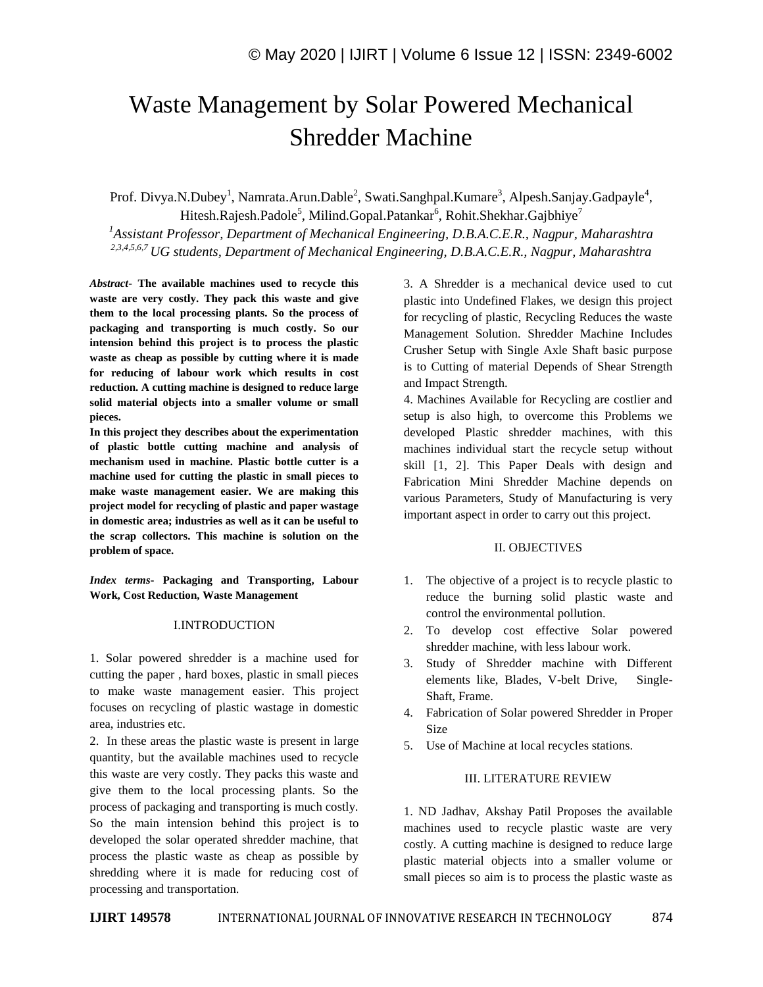# Waste Management by Solar Powered Mechanical Shredder Machine

Prof. Divya.N.Dubey<sup>1</sup>, Namrata.Arun.Dable<sup>2</sup>, Swati.Sanghpal.Kumare<sup>3</sup>, Alpesh.Sanjay.Gadpayle<sup>4</sup>, Hitesh.Rajesh.Padole<sup>5</sup>, Milind.Gopal.Patankar<sup>6</sup>, Rohit.Shekhar.Gajbhiye<sup>7</sup> *<sup>1</sup>Assistant Professor, Department of Mechanical Engineering, D.B.A.C.E.R., Nagpur, Maharashtra 2,3,4,5,6,7 UG students, Department of Mechanical Engineering, D.B.A.C.E.R., Nagpur, Maharashtra*

*Abstract*- **The available machines used to recycle this waste are very costly. They pack this waste and give them to the local processing plants. So the process of packaging and transporting is much costly. So our intension behind this project is to process the plastic waste as cheap as possible by cutting where it is made for reducing of labour work which results in cost reduction. A cutting machine is designed to reduce large solid material objects into a smaller volume or small pieces.** 

**In this project they describes about the experimentation of plastic bottle cutting machine and analysis of mechanism used in machine. Plastic bottle cutter is a machine used for cutting the plastic in small pieces to make waste management easier. We are making this project model for recycling of plastic and paper wastage in domestic area; industries as well as it can be useful to the scrap collectors. This machine is solution on the problem of space.**

*Index terms***- Packaging and Transporting, Labour Work, Cost Reduction, Waste Management**

#### I.INTRODUCTION

1. Solar powered shredder is a machine used for cutting the paper , hard boxes, plastic in small pieces to make waste management easier. This project focuses on recycling of plastic wastage in domestic area, industries etc.

2. In these areas the plastic waste is present in large quantity, but the available machines used to recycle this waste are very costly. They packs this waste and give them to the local processing plants. So the process of packaging and transporting is much costly. So the main intension behind this project is to developed the solar operated shredder machine, that process the plastic waste as cheap as possible by shredding where it is made for reducing cost of processing and transportation.

3. A Shredder is a mechanical device used to cut plastic into Undefined Flakes, we design this project for recycling of plastic, Recycling Reduces the waste Management Solution. Shredder Machine Includes Crusher Setup with Single Axle Shaft basic purpose is to Cutting of material Depends of Shear Strength and Impact Strength.

4. Machines Available for Recycling are costlier and setup is also high, to overcome this Problems we developed Plastic shredder machines, with this machines individual start the recycle setup without skill [1, 2]. This Paper Deals with design and Fabrication Mini Shredder Machine depends on various Parameters, Study of Manufacturing is very important aspect in order to carry out this project.

#### II. OBJECTIVES

- 1. The objective of a project is to recycle plastic to reduce the burning solid plastic waste and control the environmental pollution.
- 2. To develop cost effective Solar powered shredder machine, with less labour work.
- 3. Study of Shredder machine with Different elements like, Blades, V-belt Drive, Single-Shaft, Frame.
- 4. Fabrication of Solar powered Shredder in Proper Size
- 5. Use of Machine at local recycles stations.

#### III. LITERATURE REVIEW

1. ND Jadhav, Akshay Patil Proposes the available machines used to recycle plastic waste are very costly. A cutting machine is designed to reduce large plastic material objects into a smaller volume or small pieces so aim is to process the plastic waste as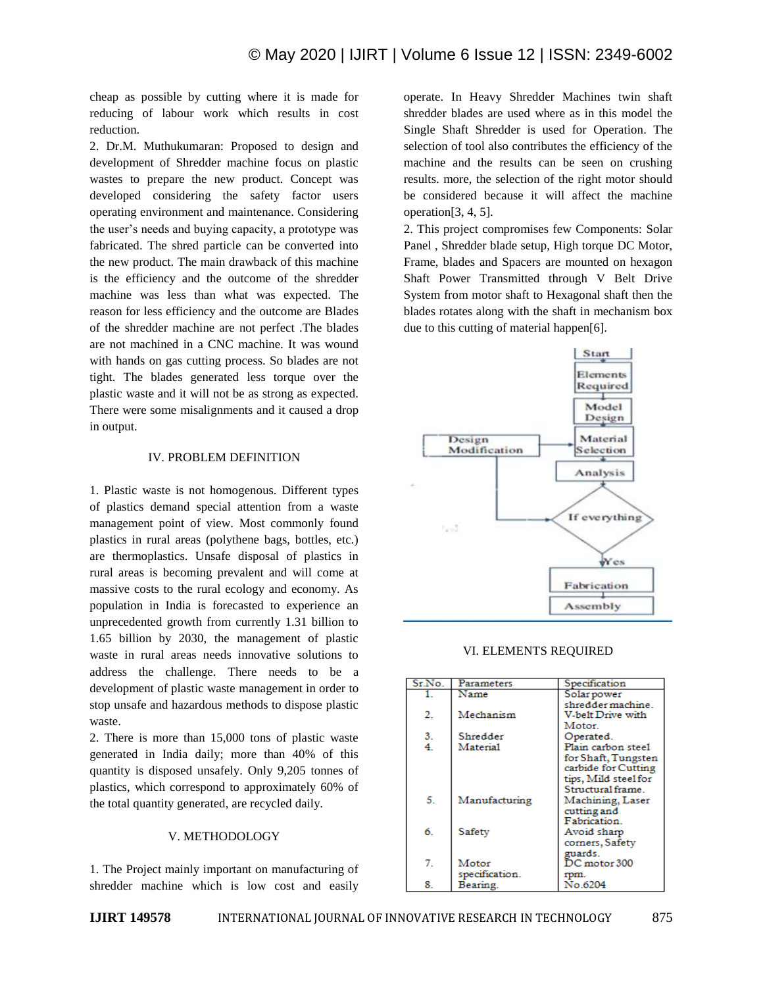cheap as possible by cutting where it is made for reducing of labour work which results in cost reduction.

2. Dr.M. Muthukumaran: Proposed to design and development of Shredder machine focus on plastic wastes to prepare the new product. Concept was developed considering the safety factor users operating environment and maintenance. Considering the user's needs and buying capacity, a prototype was fabricated. The shred particle can be converted into the new product. The main drawback of this machine is the efficiency and the outcome of the shredder machine was less than what was expected. The reason for less efficiency and the outcome are Blades of the shredder machine are not perfect .The blades are not machined in a CNC machine. It was wound with hands on gas cutting process. So blades are not tight. The blades generated less torque over the plastic waste and it will not be as strong as expected. There were some misalignments and it caused a drop in output.

#### IV. PROBLEM DEFINITION

1. Plastic waste is not homogenous. Different types of plastics demand special attention from a waste management point of view. Most commonly found plastics in rural areas (polythene bags, bottles, etc.) are thermoplastics. Unsafe disposal of plastics in rural areas is becoming prevalent and will come at massive costs to the rural ecology and economy. As population in India is forecasted to experience an unprecedented growth from currently 1.31 billion to 1.65 billion by 2030, the management of plastic waste in rural areas needs innovative solutions to address the challenge. There needs to be a development of plastic waste management in order to stop unsafe and hazardous methods to dispose plastic waste.

2. There is more than 15,000 tons of plastic waste generated in India daily; more than 40% of this quantity is disposed unsafely. Only 9,205 tonnes of plastics, which correspond to approximately 60% of the total quantity generated, are recycled daily.

## V. METHODOLOGY

1. The Project mainly important on manufacturing of shredder machine which is low cost and easily

operate. In Heavy Shredder Machines twin shaft shredder blades are used where as in this model the Single Shaft Shredder is used for Operation. The selection of tool also contributes the efficiency of the machine and the results can be seen on crushing results. more, the selection of the right motor should be considered because it will affect the machine operation[3, 4, 5].

2. This project compromises few Components: Solar Panel , Shredder blade setup, High torque DC Motor, Frame, blades and Spacers are mounted on hexagon Shaft Power Transmitted through V Belt Drive System from motor shaft to Hexagonal shaft then the blades rotates along with the shaft in mechanism box due to this cutting of material happen[6].



VI. ELEMENTS REQUIRED

| Sr.No. | Parameters     | Specification        |
|--------|----------------|----------------------|
| 1.     | Name           | Solar power          |
|        |                | shredder machine.    |
| 2.     | Mechanism      | V-belt Drive with    |
|        |                | Motor.               |
| 3.     | Shredder       | Operated.            |
| 4.     | Material       | Plain carbon steel   |
|        |                | for Shaft, Tungsten  |
|        |                | carbide for Cutting  |
|        |                | tips, Mild steel for |
|        |                | Structural frame.    |
| 5.     | Manufacturing  | Machining, Laser     |
|        |                | cutting and          |
|        |                | Fabrication          |
| б.     | Safety         | Avoid sharp          |
|        |                | corners, Safety      |
|        |                | guards.              |
| 7.     | Motor          | DC motor 300         |
|        | specification. | rpm.                 |
| 8.     | Bearing.       | No.6204              |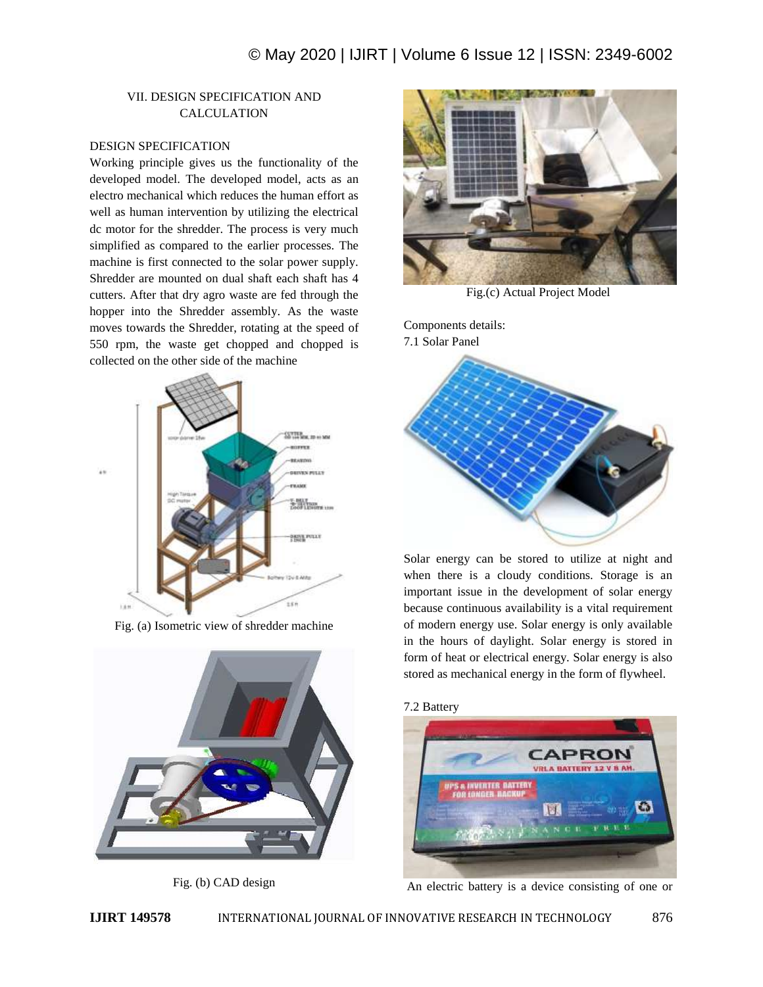# VII. DESIGN SPECIFICATION AND CALCULATION

#### DESIGN SPECIFICATION

Working principle gives us the functionality of the developed model. The developed model, acts as an electro mechanical which reduces the human effort as well as human intervention by utilizing the electrical dc motor for the shredder. The process is very much simplified as compared to the earlier processes. The machine is first connected to the solar power supply. Shredder are mounted on dual shaft each shaft has 4 cutters. After that dry agro waste are fed through the hopper into the Shredder assembly. As the waste moves towards the Shredder, rotating at the speed of 550 rpm, the waste get chopped and chopped is collected on the other side of the machine



Fig. (a) Isometric view of shredder machine



Fig. (b) CAD design



Fig.(c) Actual Project Model

Components details: 7.1 Solar Panel



Solar energy can be stored to utilize at night and when there is a cloudy conditions. Storage is an important issue in the development of solar energy because continuous availability is a vital requirement of modern energy use. Solar energy is only available in the hours of daylight. Solar energy is stored in form of heat or electrical energy. Solar energy is also stored as mechanical energy in the form of flywheel.

## 7.2 Battery



An electric battery is a device consisting of one or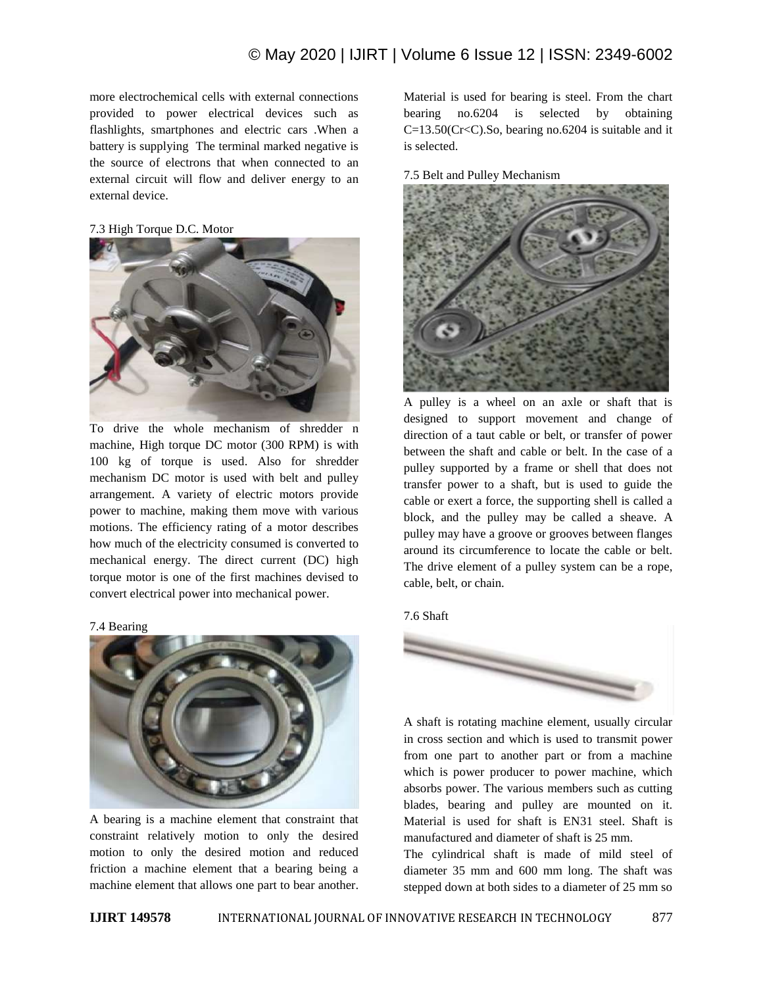more electrochemical cells with external connections provided to power electrical devices such as flashlights, smartphones and electric cars .When a battery is supplying The terminal marked negative is the source of electrons that when connected to an external circuit will flow and deliver energy to an external device.

## 7.3 High Torque D.C. Motor



To drive the whole mechanism of shredder n machine, High torque DC motor (300 RPM) is with 100 kg of torque is used. Also for shredder mechanism DC motor is used with belt and pulley arrangement. A variety of electric motors provide power to machine, making them move with various motions. The efficiency rating of a motor describes how much of the electricity consumed is converted to mechanical energy. The direct current (DC) high torque motor is one of the first machines devised to convert electrical power into mechanical power.

#### 7.4 Bearing



A bearing is a machine element that constraint that constraint relatively motion to only the desired motion to only the desired motion and reduced friction a machine element that a bearing being a machine element that allows one part to bear another. Material is used for bearing is steel. From the chart bearing no.6204 is selected by obtaining C=13.50(Cr<C).So, bearing no.6204 is suitable and it is selected.

#### 7.5 Belt and Pulley Mechanism



A pulley is a wheel on an axle or shaft that is designed to support movement and change of direction of a taut cable or belt, or transfer of power between the shaft and cable or belt. In the case of a pulley supported by a frame or shell that does not transfer power to a shaft, but is used to guide the cable or exert a force, the supporting shell is called a block, and the pulley may be called a sheave. A pulley may have a groove or grooves between flanges around its circumference to locate the cable or belt. The drive element of a pulley system can be a rope, cable, belt, or chain.

#### 7.6 Shaft



A shaft is rotating machine element, usually circular in cross section and which is used to transmit power from one part to another part or from a machine which is power producer to power machine, which absorbs power. The various members such as cutting blades, bearing and pulley are mounted on it. Material is used for shaft is EN31 steel. Shaft is manufactured and diameter of shaft is 25 mm.

The cylindrical shaft is made of mild steel of diameter 35 mm and 600 mm long. The shaft was stepped down at both sides to a diameter of 25 mm so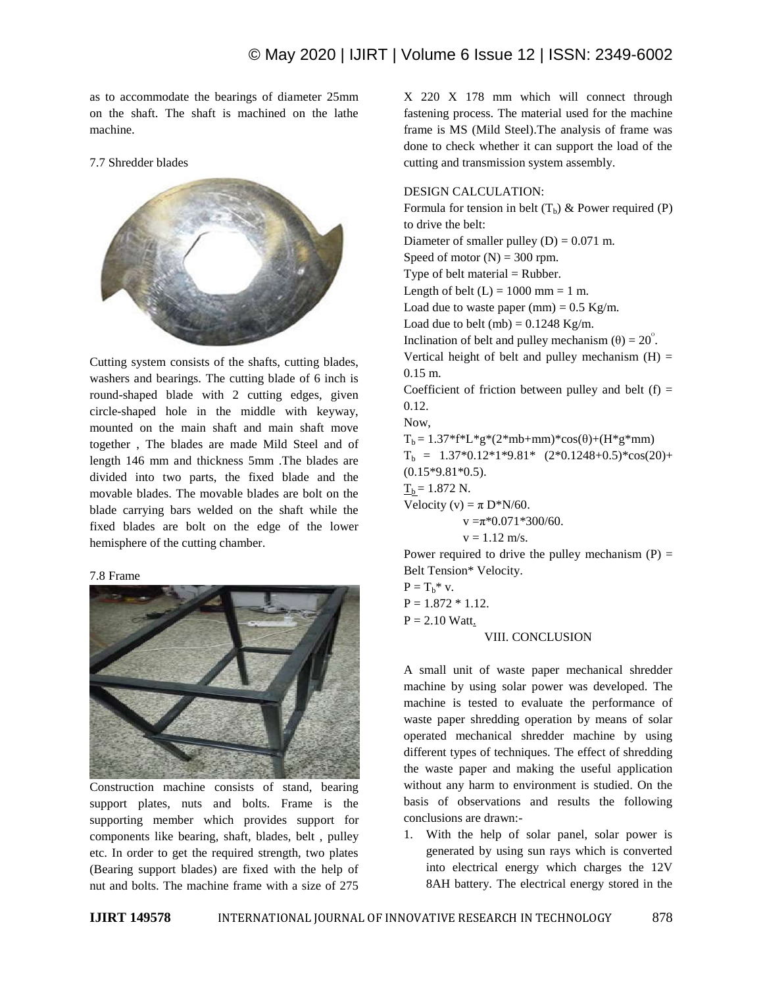as to accommodate the bearings of diameter 25mm on the shaft. The shaft is machined on the lathe machine.

7.7 Shredder blades



Cutting system consists of the shafts, cutting blades, washers and bearings. The cutting blade of 6 inch is round-shaped blade with 2 cutting edges, given circle-shaped hole in the middle with keyway, mounted on the main shaft and main shaft move together , The blades are made Mild Steel and of length 146 mm and thickness 5mm .The blades are divided into two parts, the fixed blade and the movable blades. The movable blades are bolt on the blade carrying bars welded on the shaft while the fixed blades are bolt on the edge of the lower hemisphere of the cutting chamber.

## 7.8 Frame



Construction machine consists of stand, bearing support plates, nuts and bolts. Frame is the supporting member which provides support for components like bearing, shaft, blades, belt , pulley etc. In order to get the required strength, two plates (Bearing support blades) are fixed with the help of nut and bolts. The machine frame with a size of 275

X 220 X 178 mm which will connect through fastening process. The material used for the machine frame is MS (Mild Steel).The analysis of frame was done to check whether it can support the load of the cutting and transmission system assembly.

#### DESIGN CALCULATION:

Formula for tension in belt  $(T_h)$  & Power required (P) to drive the belt: Diameter of smaller pulley  $(D) = 0.071$  m. Speed of motor  $(N) = 300$  rpm. Type of belt material  $=$  Rubber. Length of belt  $(L) = 1000$  mm = 1 m. Load due to waste paper  $(mm) = 0.5$  Kg/m. Load due to belt  $(mb) = 0.1248$  Kg/m. Inclination of belt and pulley mechanism  $(\theta) = 20^{\circ}$ . Vertical height of belt and pulley mechanism  $(H)$  = 0.15 m. Coefficient of friction between pulley and belt  $(f)$  = 0.12. Now,  $T_b = 1.37 * f * L * g * (2 * mb + mm) * cos(θ) + (H * g * mm)$  $T_b = 1.37*0.12*1*9.81* (2*0.1248+0.5)*cos(20)+$ (0.15\*9.81\*0.5).  $T_b = 1.872$  N. Velocity (v) =  $\pi$  D\*N/60.  $v = \pi \times 0.071 \times 300/60$ .  $v = 1.12$  m/s. Power required to drive the pulley mechanism  $(P)$  = Belt Tension\* Velocity.  $P = T_h^*$  v.  $P = 1.872 * 1.12.$  $P = 2.10$  Watt.

## VIII. CONCLUSION

A small unit of waste paper mechanical shredder machine by using solar power was developed. The machine is tested to evaluate the performance of waste paper shredding operation by means of solar operated mechanical shredder machine by using different types of techniques. The effect of shredding the waste paper and making the useful application without any harm to environment is studied. On the basis of observations and results the following conclusions are drawn:-

1. With the help of solar panel, solar power is generated by using sun rays which is converted into electrical energy which charges the 12V 8AH battery. The electrical energy stored in the